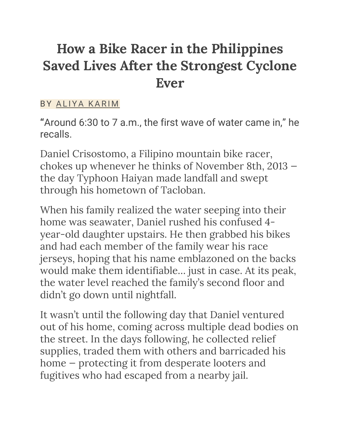# **How a Bike Racer in the Philippines Saved Lives After the Strongest Cyclone Ever**

#### BY ALIYA KARIM

**"**Around 6:30 to 7 a.m., the first wave of water came in," he recalls.

Daniel Crisostomo, a Filipino mountain bike racer, chokes up whenever he thinks of November 8th, 2013 the day Typhoon Haiyan made landfall and swept through his hometown of Tacloban.

When his family realized the water seeping into their home was seawater, Daniel rushed his confused 4 year-old daughter upstairs. He then grabbed his bikes and had each member of the family wear his race jerseys, hoping that his name emblazoned on the backs would make them identifiable… just in case. At its peak, the water level reached the family's second floor and didn't go down until nightfall.

It wasn't until the following day that Daniel ventured out of his home, coming across multiple dead bodies on the street. In the days following, he collected relief supplies, traded them with others and barricaded his home — protecting it from desperate looters and fugitives who had escaped from a nearby jail.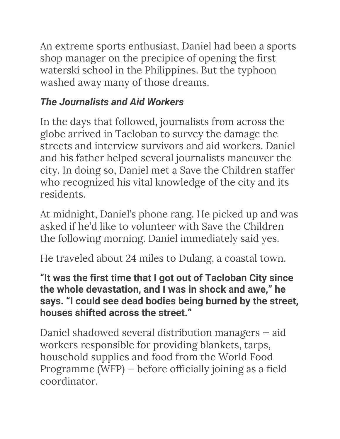An extreme sports enthusiast, Daniel had been a sports shop manager on the precipice of opening the first waterski school in the Philippines. But the typhoon washed away many of those dreams.

# *The Journalists and Aid Workers*

In the days that followed, journalists from across the globe arrived in Tacloban to survey the damage the streets and interview survivors and aid workers. Daniel and his father helped several journalists maneuver the city. In doing so, Daniel met a Save the Children staffer who recognized his vital knowledge of the city and its residents.

At midnight, Daniel's phone rang. He picked up and was asked if he'd like to volunteer with Save the Children the following morning. Daniel immediately said yes.

He traveled about 24 miles to Dulang, a coastal town.

**"It was the first time that I got out of Tacloban City since the whole devastation, and I was in shock and awe," he says. "I could see dead bodies being burned by the street, houses shifted across the street."**

Daniel shadowed several distribution managers — aid workers responsible for providing blankets, tarps, household supplies and food from the World Food Programme (WFP) — before officially joining as a field coordinator.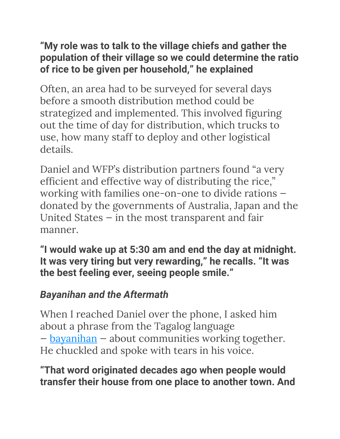### **"My role was to talk to the village chiefs and gather the population of their village so we could determine the ratio of rice to be given per household," he explained**

Often, an area had to be surveyed for several days before a smooth distribution method could be strategized and implemented. This involved figuring out the time of day for distribution, which trucks to use, how many staff to deploy and other logistical details.

Daniel and WFP's distribution partners found "a very efficient and effective way of distributing the rice," working with families one-on-one to divide rations donated by the governments of Australia, Japan and the United States — in the most transparent and fair manner.

**"I would wake up at 5:30 am and end the day at midnight. It was very tiring but very rewarding," he recalls. "It was the best feeling ever, seeing people smile."**

## *Bayanihan and the Aftermath*

When I reached Daniel over the phone, I asked him about a phrase from the Tagalog language — bayanihan — about communities working together. He chuckled and spoke with tears in his voice.

#### **"That word originated decades ago when people would transfer their house from one place to another town. And**